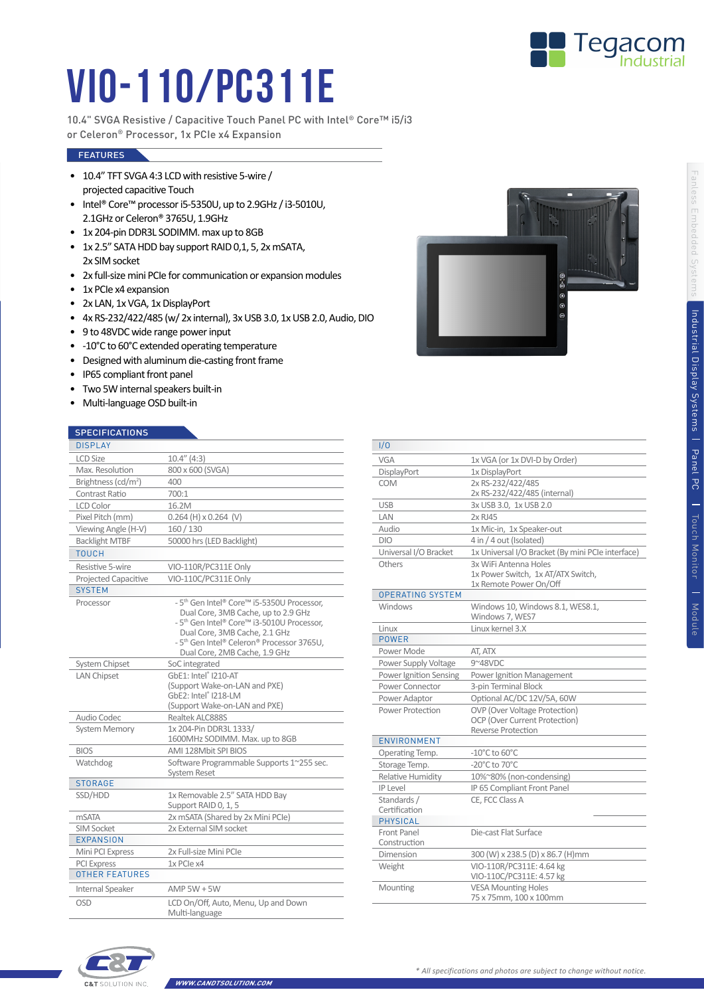

## VIO-110/PC311E

10.4" SVGA Resistive / Capacitive Touch Panel PC with Intel® Core™ i5/i3 or Celeron® Processor, 1x PCIe x4 Expansion

## **FEATURES**

- 10.4" TFT SVGA 4:3 LCD with resistive 5-wire / projected capacitive Touch
- Intel® Core™ processor i5-5350U, up to 2.9GHz / i3-5010U, 2.1GHz or Celeron® 3765U, 1.9GHz
- 1x 204-pin DDR3L SODIMM. max up to 8GB
- 1x 2.5" SATA HDD bay support RAID 0,1, 5, 2x mSATA, 2x SIM socket
- 2x full-size mini PCIe for communication or expansion modules
- 1x PCIe x4 expansion
- 2x LAN, 1x VGA, 1x DisplayPort
- 4x RS-232/422/485 (w/ 2x internal), 3x USB 3.0, 1x USB 2.0, Audio, DIO
- 9 to 48VDC wide range power input
- -10°C to 60°C extended operating temperature
- Designed with aluminum die-casting front frame
- IP65 compliant front panel
- Two 5W internal speakers built-in
- Multi-language OSD built-in

## **SPECIFICATIONS**

| <b>JELUIFIUATIUNJ</b>           |                                                                                                                                                                                                                                                                                     |
|---------------------------------|-------------------------------------------------------------------------------------------------------------------------------------------------------------------------------------------------------------------------------------------------------------------------------------|
| <b>DISPLAY</b>                  |                                                                                                                                                                                                                                                                                     |
| <b>LCD Size</b>                 | $10.4''$ (4:3)                                                                                                                                                                                                                                                                      |
| Max. Resolution                 | 800 x 600 (SVGA)                                                                                                                                                                                                                                                                    |
| Brightness (cd/m <sup>2</sup> ) | 400                                                                                                                                                                                                                                                                                 |
| Contrast Ratio                  | 700:1                                                                                                                                                                                                                                                                               |
| <b>LCD Color</b>                | 16.2M                                                                                                                                                                                                                                                                               |
| Pixel Pitch (mm)                | $0.264$ (H) x 0.264 (V)                                                                                                                                                                                                                                                             |
| Viewing Angle (H-V)             | 160/130                                                                                                                                                                                                                                                                             |
| <b>Backlight MTBF</b>           | 50000 hrs (LED Backlight)                                                                                                                                                                                                                                                           |
| <b>TOUCH</b>                    |                                                                                                                                                                                                                                                                                     |
| Resistive 5-wire                | VIO-110R/PC311E Only                                                                                                                                                                                                                                                                |
| Projected Capacitive            | VIO-110C/PC311E Only                                                                                                                                                                                                                                                                |
| <b>SYSTEM</b>                   |                                                                                                                                                                                                                                                                                     |
| Processor                       | - 5 <sup>th</sup> Gen Intel® Core™ i5-5350U Processor.<br>Dual Core, 3MB Cache, up to 2.9 GHz<br>- 5 <sup>th</sup> Gen Intel® Core™ i3-5010U Processor,<br>Dual Core, 3MB Cache, 2.1 GHz<br>- 5 <sup>th</sup> Gen Intel® Celeron® Processor 3765U,<br>Dual Core, 2MB Cache, 1.9 GHz |
| System Chipset                  | SoC integrated                                                                                                                                                                                                                                                                      |
| <b>LAN Chipset</b>              | GbE1: Intel® I210-AT<br>(Support Wake-on-LAN and PXE)<br>GbE2: Intel® I218-LM<br>(Support Wake-on-LAN and PXE)                                                                                                                                                                      |
| Audio Codec                     | Realtek ALC888S                                                                                                                                                                                                                                                                     |
| <b>System Memory</b>            | 1x 204-Pin DDR3L 1333/<br>1600MHz SODIMM. Max. up to 8GB                                                                                                                                                                                                                            |
| <b>BIOS</b>                     | AMI 128Mbit SPI BIOS                                                                                                                                                                                                                                                                |
| Watchdog                        | Software Programmable Supports 1~255 sec.<br><b>System Reset</b>                                                                                                                                                                                                                    |
| <b>STORAGE</b>                  |                                                                                                                                                                                                                                                                                     |
| SSD/HDD                         | 1x Removable 2.5" SATA HDD Bay<br>Support RAID 0, 1, 5                                                                                                                                                                                                                              |
| mSATA                           | 2x mSATA (Shared by 2x Mini PCle)                                                                                                                                                                                                                                                   |
| <b>SIM Socket</b>               | 2x External SIM socket                                                                                                                                                                                                                                                              |
| <b>EXPANSION</b>                |                                                                                                                                                                                                                                                                                     |
| Mini PCI Express                | 2x Full-size Mini PCIe                                                                                                                                                                                                                                                              |
| <b>PCI Express</b>              | 1x PCIe x4                                                                                                                                                                                                                                                                          |
| <b>OTHER FEATURES</b>           |                                                                                                                                                                                                                                                                                     |
| Internal Speaker                | AMP $5W + 5W$                                                                                                                                                                                                                                                                       |
| OSD                             | LCD On/Off, Auto, Menu, Up and Down<br>Multi-language                                                                                                                                                                                                                               |



| 1/0                         |                                                   |
|-----------------------------|---------------------------------------------------|
| <b>VGA</b>                  | 1x VGA (or 1x DVI-D by Order)                     |
| DisplayPort                 | 1x DisplayPort                                    |
| COM                         | 2x RS-232/422/485                                 |
|                             | 2x RS-232/422/485 (internal)                      |
| <b>USB</b>                  | 3x USB 3.0, 1x USB 2.0                            |
| LAN                         | 2x RJ45                                           |
| Audio                       | 1x Mic-in, 1x Speaker-out                         |
| <b>DIO</b>                  | 4 in / 4 out (Isolated)                           |
| Universal I/O Bracket       | 1x Universal I/O Bracket (By mini PCIe interface) |
| Others                      | 3x WiFi Antenna Holes                             |
|                             | 1x Power Switch, 1x AT/ATX Switch,                |
|                             | 1x Remote Power On/Off                            |
| <b>OPERATING SYSTEM</b>     |                                                   |
| Windows                     | Windows 10, Windows 8.1, WES8.1,                  |
|                             | Windows 7, WES7                                   |
| Linux                       | Linux kernel 3.X                                  |
| <b>POWER</b>                |                                                   |
| Power Mode                  | AT, ATX                                           |
| Power Supply Voltage        | 9~48VDC                                           |
| Power Ignition Sensing      | Power Ignition Management                         |
| Power Connector             | 3-pin Terminal Block                              |
| Power Adaptor               | Optional AC/DC 12V/5A, 60W                        |
| Power Protection            | <b>OVP</b> (Over Voltage Protection)              |
|                             | OCP (Over Current Protection)                     |
|                             | <b>Reverse Protection</b>                         |
| ENVIRONMENT                 |                                                   |
| Operating Temp.             | $-10^{\circ}$ C to 60 $^{\circ}$ C                |
| Storage Temp.               | -20°C to 70°C                                     |
| Relative Humidity           | 10%~80% (non-condensing)                          |
| <b>IP Level</b>             | IP 65 Compliant Front Panel                       |
| Standards /                 | CE, FCC Class A                                   |
| Certification               |                                                   |
| <b>PHYSICAL</b>             |                                                   |
| Front Panel<br>Construction | Die-cast Flat Surface                             |
| Dimension                   | 300 (W) x 238.5 (D) x 86.7 (H)mm                  |
| Weight                      | VIO-110R/PC311E: 4.64 kg                          |
|                             | VIO-110C/PC311E: 4.57 kg                          |
| Mounting                    | <b>VESA Mounting Holes</b>                        |
|                             | 75 x 75mm, 100 x 100mm                            |